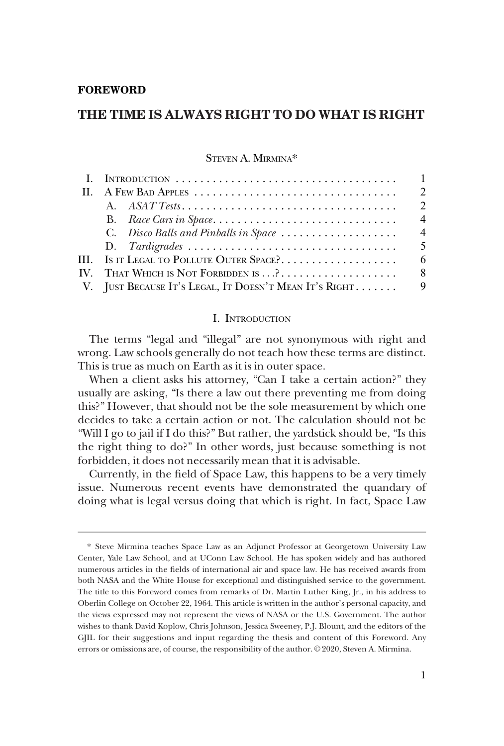## **FOREWORD**

# **THE TIME IS ALWAYS RIGHT TO DO WHAT IS RIGHT**

STEVEN A. MIRMINA\*

|                                                          | $\mathcal{L}$  |
|----------------------------------------------------------|----------------|
|                                                          | $\mathcal{L}$  |
|                                                          | $\overline{4}$ |
| C. Disco Balls and Pinballs in Space                     | $\overline{4}$ |
|                                                          | $\overline{5}$ |
| III. Is it Legal to Pollute Outer Space?                 | -6             |
|                                                          |                |
| V. JUST BECAUSE IT'S LEGAL, IT DOESN'T MEAN IT'S RIGHT 9 |                |

## I. INTRODUCTION

The terms "legal and "illegal" are not synonymous with right and wrong. Law schools generally do not teach how these terms are distinct. This is true as much on Earth as it is in outer space.

When a client asks his attorney, "Can I take a certain action?" they usually are asking, "Is there a law out there preventing me from doing this?" However, that should not be the sole measurement by which one decides to take a certain action or not. The calculation should not be "Will I go to jail if I do this?" But rather, the yardstick should be, "Is this the right thing to do?" In other words, just because something is not forbidden, it does not necessarily mean that it is advisable.

Currently, in the feld of Space Law, this happens to be a very timely issue. Numerous recent events have demonstrated the quandary of doing what is legal versus doing that which is right. In fact, Space Law

<sup>\*</sup> Steve Mirmina teaches Space Law as an Adjunct Professor at Georgetown University Law Center, Yale Law School, and at UConn Law School. He has spoken widely and has authored numerous articles in the felds of international air and space law. He has received awards from both NASA and the White House for exceptional and distinguished service to the government. The title to this Foreword comes from remarks of Dr. Martin Luther King, Jr., in his address to Oberlin College on October 22, 1964. This article is written in the author's personal capacity, and the views expressed may not represent the views of NASA or the U.S. Government. The author wishes to thank David Koplow, Chris Johnson, Jessica Sweeney, P.J. Blount, and the editors of the GJIL for their suggestions and input regarding the thesis and content of this Foreword. Any errors or omissions are, of course, the responsibility of the author.  $© 2020$ , Steven A. Mirmina.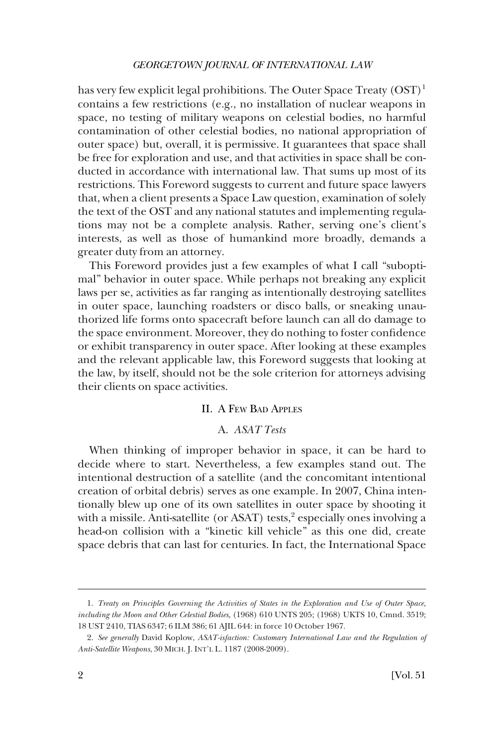## *GEORGETOWN JOURNAL OF INTERNATIONAL LAW*

<span id="page-1-0"></span>has very few explicit legal prohibitions. The Outer Space Treaty  $(OST)^1$ contains a few restrictions (e.g., no installation of nuclear weapons in space, no testing of military weapons on celestial bodies, no harmful contamination of other celestial bodies, no national appropriation of outer space) but, overall, it is permissive. It guarantees that space shall be free for exploration and use, and that activities in space shall be conducted in accordance with international law. That sums up most of its restrictions. This Foreword suggests to current and future space lawyers that, when a client presents a Space Law question, examination of solely the text of the OST and any national statutes and implementing regulations may not be a complete analysis. Rather, serving one's client's interests, as well as those of humankind more broadly, demands a greater duty from an attorney.

This Foreword provides just a few examples of what I call "suboptimal" behavior in outer space. While perhaps not breaking any explicit laws per se, activities as far ranging as intentionally destroying satellites in outer space, launching roadsters or disco balls, or sneaking unauthorized life forms onto spacecraft before launch can all do damage to the space environment. Moreover, they do nothing to foster confdence or exhibit transparency in outer space. After looking at these examples and the relevant applicable law, this Foreword suggests that looking at the law, by itself, should not be the sole criterion for attorneys advising their clients on space activities.

## II. A FEW BAD APPLES

## A. *ASAT Tests*

When thinking of improper behavior in space, it can be hard to decide where to start. Nevertheless, a few examples stand out. The intentional destruction of a satellite (and the concomitant intentional creation of orbital debris) serves as one example. In 2007, China intentionally blew up one of its own satellites in outer space by shooting it with a missile. Anti-satellite (or ASAT) tests, $\frac{2}{3}$  especially ones involving a head-on collision with a "kinetic kill vehicle" as this one did, create space debris that can last for centuries. In fact, the International Space

<sup>1.</sup> *Treaty on Principles Governing the Activities of States in the Exploration and Use of Outer Space, including the Moon and Other Celestial Bodies*, (1968) 610 UNTS 205; (1968) UKTS 10, Cmnd. 3519; 18 UST 2410, TIAS 6347; 6 ILM 386; 61 AJIL 644: in force 10 October 1967.

<sup>2.</sup> *See generally* David Koplow, *ASAT-isfaction: Customary International Law and the Regulation of Anti-Satellite Weapons*, 30 MICH. J. INT'L L. 1187 (2008-2009).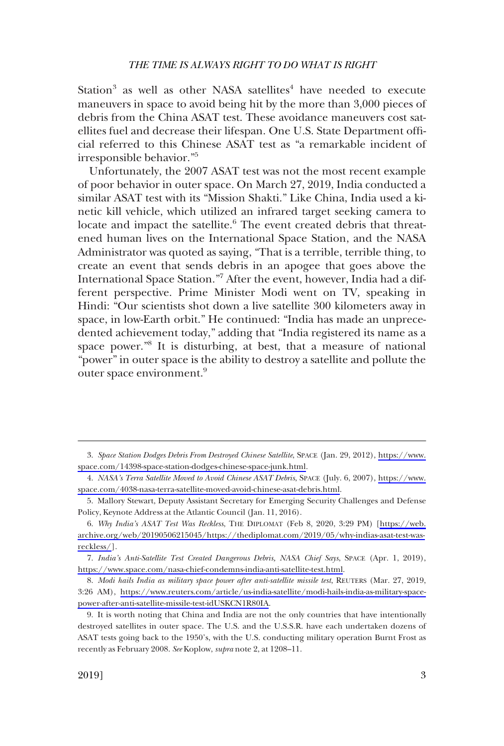#### *THE TIME IS ALWAYS RIGHT TO DO WHAT IS RIGHT*

Station<sup>3</sup> as well as other NASA satellites<sup>4</sup> have needed to execute maneuvers in space to avoid being hit by the more than 3,000 pieces of debris from the China ASAT test. These avoidance maneuvers cost satellites fuel and decrease their lifespan. One U.S. State Department offcial referred to this Chinese ASAT test as "a remarkable incident of irresponsible behavior."5

Unfortunately, the 2007 ASAT test was not the most recent example of poor behavior in outer space. On March 27, 2019, India conducted a similar ASAT test with its "Mission Shakti." Like China, India used a kinetic kill vehicle, which utilized an infrared target seeking camera to locate and impact the satellite.<sup>6</sup> The event created debris that threatened human lives on the International Space Station, and the NASA Administrator was quoted as saying, "That is a terrible, terrible thing, to create an event that sends debris in an apogee that goes above the International Space Station."7 After the event, however, India had a different perspective. Prime Minister Modi went on TV, speaking in Hindi: "Our scientists shot down a live satellite 300 kilometers away in space, in low-Earth orbit." He continued: "India has made an unprecedented achievement today," adding that "India registered its name as a space power."<sup>8</sup> It is disturbing, at best, that a measure of national "power" in outer space is the ability to destroy a satellite and pollute the outer space environment.<sup>9</sup>

*Space Station Dodges Debris From Destroyed Chinese Satellite*, SPACE (Jan. 29, 2012), [https://www.](https://www.space.com/14398-space-station-dodges-chinese-space-junk.html) 3. [space.com/14398-space-station-dodges-chinese-space-junk.html](https://www.space.com/14398-space-station-dodges-chinese-space-junk.html).

*NASA's Terra Satellite Moved to Avoid Chinese ASAT Debris*, SPACE (July. 6, 2007), [https://www.](https://www.space.com/4038-nasa-terra-satellite-moved-avoid-chinese-asat-debris.html) 4. [space.com/4038-nasa-terra-satellite-moved-avoid-chinese-asat-debris.html.](https://www.space.com/4038-nasa-terra-satellite-moved-avoid-chinese-asat-debris.html)

<sup>5.</sup> Mallory Stewart, Deputy Assistant Secretary for Emerging Security Challenges and Defense Policy, Keynote Address at the Atlantic Council (Jan. 11, 2016).

*Why India's ASAT Test Was Reckless*, THE DIPLOMAT (Feb 8, 2020, 3:29 PM) [\[https://web.](https://web.archive.org/web/20190506215045/https://thediplomat.com/2019/05/why-indias-asat-test-was-reckless/)  6. [archive.org/web/20190506215045/https://thediplomat.com/2019/05/why-indias-asat-test-was](https://web.archive.org/web/20190506215045/https://thediplomat.com/2019/05/why-indias-asat-test-was-reckless/)[reckless/](https://web.archive.org/web/20190506215045/https://thediplomat.com/2019/05/why-indias-asat-test-was-reckless/)].

*India's Anti-Satellite Test Created Dangerous Debris, NASA Chief Says*, SPACE (Apr. 1, 2019), 7. [https://www.space.com/nasa-chief-condemns-india-anti-satellite-test.html.](https://www.space.com/nasa-chief-condemns-india-anti-satellite-test.html)

*Modi hails India as military space power after anti-satellite missile test*, REUTERS (Mar. 27, 2019, 8. 3:26 AM), [https://www.reuters.com/article/us-india-satellite/modi-hails-india-as-military-space](https://www.reuters.com/article/us-india-satellite/modi-hails-india-as-military-space-power-after-anti-satellite-missile-test-idUSKCN1R80IA)[power-after-anti-satellite-missile-test-idUSKCN1R80IA](https://www.reuters.com/article/us-india-satellite/modi-hails-india-as-military-space-power-after-anti-satellite-missile-test-idUSKCN1R80IA).

<sup>9.</sup> It is worth noting that China and India are not the only countries that have intentionally destroyed satellites in outer space. The U.S. and the U.S.S.R. have each undertaken dozens of ASAT tests going back to the 1950's, with the U.S. conducting military operation Burnt Frost as recently as February 2008. *See* Koplow, *supra* note 2, at 1208–11.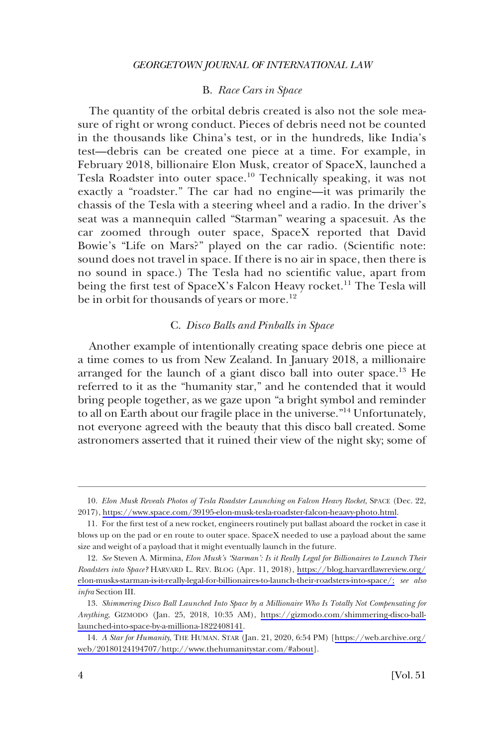## B. *Race Cars in Space*

<span id="page-3-0"></span>The quantity of the orbital debris created is also not the sole measure of right or wrong conduct. Pieces of debris need not be counted in the thousands like China's test, or in the hundreds, like India's test—debris can be created one piece at a time. For example, in February 2018, billionaire Elon Musk, creator of SpaceX, launched a Tesla Roadster into outer space.<sup>10</sup> Technically speaking, it was not exactly a "roadster." The car had no engine—it was primarily the chassis of the Tesla with a steering wheel and a radio. In the driver's seat was a mannequin called "Starman" wearing a spacesuit. As the car zoomed through outer space, SpaceX reported that David Bowie's "Life on Mars?" played on the car radio. (Scientifc note: sound does not travel in space. If there is no air in space, then there is no sound in space.) The Tesla had no scientifc value, apart from being the first test of SpaceX's Falcon Heavy rocket.<sup>11</sup> The Tesla will be in orbit for thousands of years or more.<sup>12</sup>

#### C. *Disco Balls and Pinballs in Space*

Another example of intentionally creating space debris one piece at a time comes to us from New Zealand. In January 2018, a millionaire arranged for the launch of a giant disco ball into outer space.<sup>13</sup> He referred to it as the "humanity star," and he contended that it would bring people together, as we gaze upon "a bright symbol and reminder to all on Earth about our fragile place in the universe."14 Unfortunately, not everyone agreed with the beauty that this disco ball created. Some astronomers asserted that it ruined their view of the night sky; some of

<sup>10.</sup> Elon Musk Reveals Photos of Tesla Roadster Launching on Falcon Heavy Rocket, SPACE (Dec. 22, 2017), [https://www.space.com/39195-elon-musk-tesla-roadster-falcon-heaavy-photo.html.](https://www.space.com/39195-elon-musk-tesla-roadster-falcon-heaavy-photo.html)

<sup>11.</sup> For the frst test of a new rocket, engineers routinely put ballast aboard the rocket in case it blows up on the pad or en route to outer space. SpaceX needed to use a payload about the same size and weight of a payload that it might eventually launch in the future.

*See* Steven A. Mirmina, *Elon Musk's 'Starman': Is it Really Legal for Billionaires to Launch Their*  12. *Roadsters into Space?* HARVARD L. REV. BLOG (Apr. 11, 2018), [https://blog.harvardlawreview.org/](https://blog.harvardlawreview.org/elon-musks-starman-is-it-really-legal-for-billionaires-to-launch-their-roadsters-into-space/;)  [elon-musks-starman-is-it-really-legal-for-billionaires-to-launch-their-roadsters-into-space/;](https://blog.harvardlawreview.org/elon-musks-starman-is-it-really-legal-for-billionaires-to-launch-their-roadsters-into-space/;) *see also infra* Section III.

<sup>13.</sup> Shimmering Disco Ball Launched Into Space by a Millionaire Who Is Totally Not Compensating for *Anything*, GIZMODO (Jan. 25, 2018, 10:35 AM), [https://gizmodo.com/shimmering-disco-ball](https://gizmodo.com/shimmering-disco-ball-launched-into-space-by-a-milliona-1822408141)[launched-into-space-by-a-milliona-1822408141](https://gizmodo.com/shimmering-disco-ball-launched-into-space-by-a-milliona-1822408141).

*A Star for Humanity*, THE HUMAN. STAR (Jan. 21, 2020, 6:54 PM) [[https://web.archive.org/](https://web.archive.org/web/20180124194707/http://www.thehumanitystar.com/#about) 14. [web/20180124194707/http://www.thehumanitystar.com/#about](https://web.archive.org/web/20180124194707/http://www.thehumanitystar.com/#about)].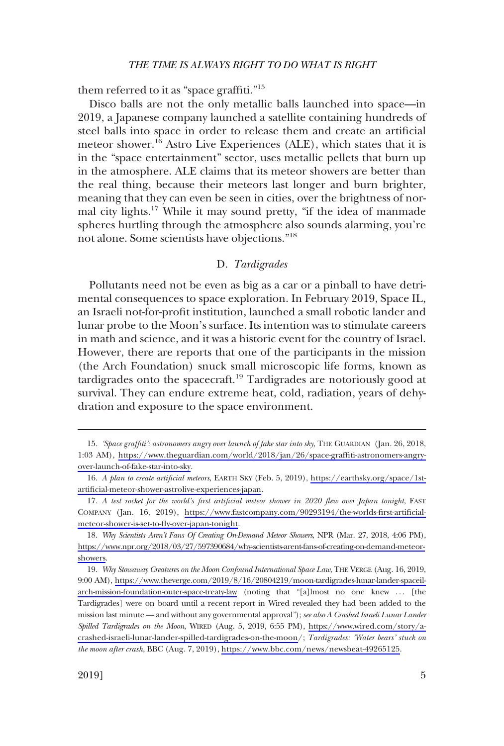<span id="page-4-0"></span>them referred to it as "space graffiti."<sup>15</sup>

Disco balls are not the only metallic balls launched into space—in 2019, a Japanese company launched a satellite containing hundreds of steel balls into space in order to release them and create an artifcial meteor shower.<sup>16</sup> Astro Live Experiences (ALE), which states that it is in the "space entertainment" sector, uses metallic pellets that burn up in the atmosphere. ALE claims that its meteor showers are better than the real thing, because their meteors last longer and burn brighter, meaning that they can even be seen in cities, over the brightness of normal city lights.<sup>17</sup> While it may sound pretty, "if the idea of manmade spheres hurtling through the atmosphere also sounds alarming, you're not alone. Some scientists have objections."<sup>18</sup>

## D. *Tardigrades*

Pollutants need not be even as big as a car or a pinball to have detrimental consequences to space exploration. In February 2019, Space IL, an Israeli not-for-proft institution, launched a small robotic lander and lunar probe to the Moon's surface. Its intention was to stimulate careers in math and science, and it was a historic event for the country of Israel. However, there are reports that one of the participants in the mission (the Arch Foundation) snuck small microscopic life forms, known as tardigrades onto the spacecraft.<sup>19</sup> Tardigrades are notoriously good at survival. They can endure extreme heat, cold, radiation, years of dehydration and exposure to the space environment.

*<sup>&#</sup>x27;Space graffti': astronomers angry over launch of fake star into sky*, THE GUARDIAN (Jan. 26, 2018, 15. 1:03 AM), [https://www.theguardian.com/world/2018/jan/26/space-graffti-astronomers-angry](https://www.theguardian.com/world/2018/jan/26/space-graffiti-astronomers-angry-over-launch-of-fake-star-into-sky)[over-launch-of-fake-star-into-sky.](https://www.theguardian.com/world/2018/jan/26/space-graffiti-astronomers-angry-over-launch-of-fake-star-into-sky)

*A plan to create artifcial meteors*, EARTH SKY (Feb. 5, 2019), [https://earthsky.org/space/1st-](https://earthsky.org/space/1st-artificial-meteor-shower-astrolive-experiences-japan)16. [artifcial-meteor-shower-astrolive-experiences-japan](https://earthsky.org/space/1st-artificial-meteor-shower-astrolive-experiences-japan).

<sup>17.</sup> A test rocket for the world's first artificial meteor shower in 2020 flew over Japan tonight, FAST COMPANY (Jan. 16, 2019), [https://www.fastcompany.com/90293194/the-worlds-frst-artifcial](https://www.fastcompany.com/90293194/the-worlds-first-artificial-meteor-shower-is-set-to-fly-over-japan-tonight)[meteor-shower-is-set-to-fy-over-japan-tonight.](https://www.fastcompany.com/90293194/the-worlds-first-artificial-meteor-shower-is-set-to-fly-over-japan-tonight)

*Why Scientists Aren't Fans Of Creating On-Demand Meteor Showers*, NPR (Mar. 27, 2018, 4:06 PM), 18. [https://www.npr.org/2018/03/27/597390684/why-scientists-arent-fans-of-creating-on-demand-meteor](https://www.npr.org/2018/03/27/597390684/why-scientists-arent-fans-of-creating-on-demand-meteor-showers)[showers.](https://www.npr.org/2018/03/27/597390684/why-scientists-arent-fans-of-creating-on-demand-meteor-showers)

*Why Stowaway Creatures on the Moon Confound International Space Law*, THE VERGE (Aug. 16, 2019, 19. 9:00 AM), [https://www.theverge.com/2019/8/16/20804219/moon-tardigrades-lunar-lander-spaceil](https://www.theverge.com/2019/8/16/20804219/moon-tardigrades-lunar-lander-spaceil-arch-mission-foundation-outer-space-treaty-law)[arch-mission-foundation-outer-space-treaty-law](https://www.theverge.com/2019/8/16/20804219/moon-tardigrades-lunar-lander-spaceil-arch-mission-foundation-outer-space-treaty-law) (noting that "[a]lmost no one knew . . . [the Tardigrades] were on board until a recent report in Wired revealed they had been added to the mission last minute — and without any governmental approval"); *see also A Crashed Israeli Lunar Lander Spilled Tardigrades on the Moon*, WIRED (Aug. 5, 2019, 6:55 PM), [https://www.wired.com/story/a](https://www.wired.com/story/a-crashed-israeli-lunar-lander-spilled-tardigrades-on-the-moon)[crashed-israeli-lunar-lander-spilled-tardigrades-on-the-moon](https://www.wired.com/story/a-crashed-israeli-lunar-lander-spilled-tardigrades-on-the-moon)/; *Tardigrades: 'Water bears' stuck on the moon after crash*, BBC (Aug. 7, 2019), [https://www.bbc.com/news/newsbeat-49265125.](https://www.bbc.com/news/newsbeat-49265125)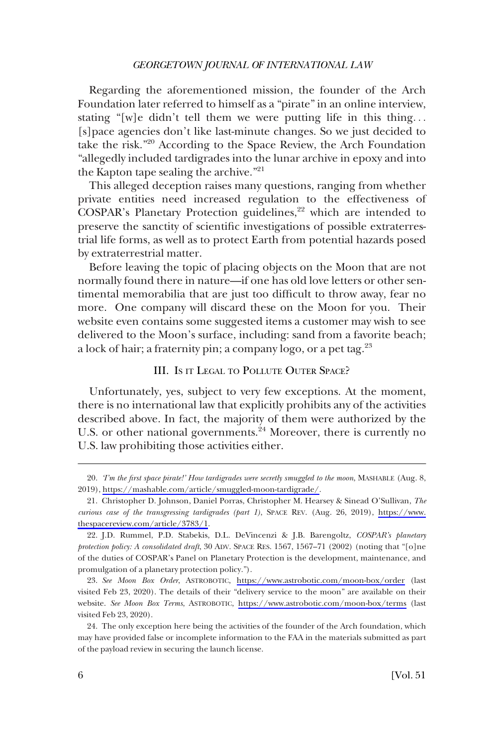#### *GEORGETOWN JOURNAL OF INTERNATIONAL LAW*

<span id="page-5-0"></span>Regarding the aforementioned mission, the founder of the Arch Foundation later referred to himself as a "pirate" in an online interview, stating "[w]e didn't tell them we were putting life in this thing. . . [s]pace agencies don't like last-minute changes. So we just decided to take the risk."20 According to the Space Review, the Arch Foundation "allegedly included tardigrades into the lunar archive in epoxy and into the Kapton tape sealing the archive."<sup>21</sup>

This alleged deception raises many questions, ranging from whether private entities need increased regulation to the effectiveness of COSPAR's Planetary Protection guidelines,<sup>22</sup> which are intended to preserve the sanctity of scientifc investigations of possible extraterrestrial life forms, as well as to protect Earth from potential hazards posed by extraterrestrial matter.

Before leaving the topic of placing objects on the Moon that are not normally found there in nature—if one has old love letters or other sentimental memorabilia that are just too diffcult to throw away, fear no more. One company will discard these on the Moon for you. Their website even contains some suggested items a customer may wish to see delivered to the Moon's surface, including: sand from a favorite beach; a lock of hair; a fraternity pin; a company logo, or a pet tag.23

## III. IS IT LEGAL TO POLLUTE OUTER SPACE?

Unfortunately, yes, subject to very few exceptions. At the moment, there is no international law that explicitly prohibits any of the activities described above. In fact, the majority of them were authorized by the U.S. or other national governments.<sup>24</sup> Moreover, there is currently no U.S. law prohibiting those activities either.

*<sup>&#</sup>x27;I'm the frst space pirate!' How tardigrades were secretly smuggled to the moon*, MASHABLE (Aug. 8, 20. 2019), [https://mashable.com/article/smuggled-moon-tardigrade/.](https://mashable.com/article/smuggled-moon-tardigrade/)

Christopher D. Johnson, Daniel Porras, Christopher M. Hearsey & Sinead O'Sullivan, *The*  21. *curious case of the transgressing tardigrades (part 1)*, SPACE REV. (Aug. 26, 2019), [https://www.](https://www.thespacereview.com/article/3783/1) [thespacereview.com/article/3783/1.](https://www.thespacereview.com/article/3783/1)

<sup>22.</sup> J.D. Rummel, P.D. Stabekis, D.L. DeVincenzi & J.B. Barengoltz, *COSPAR's planetary protection policy: A consolidated draft*, 30 ADV. SPACE RES. 1567, 1567–71 (2002) (noting that "[o]ne of the duties of COSPAR's Panel on Planetary Protection is the development, maintenance, and promulgation of a planetary protection policy.").

*See Moon Box Order*, ASTROBOTIC, <https://www.astrobotic.com/moon-box/order>(last 23. visited Feb 23, 2020). The details of their "delivery service to the moon" are available on their website. *See Moon Box Terms*, ASTROBOTIC, <https://www.astrobotic.com/moon-box/terms> (last visited Feb 23, 2020).

<sup>24.</sup> The only exception here being the activities of the founder of the Arch foundation, which may have provided false or incomplete information to the FAA in the materials submitted as part of the payload review in securing the launch license.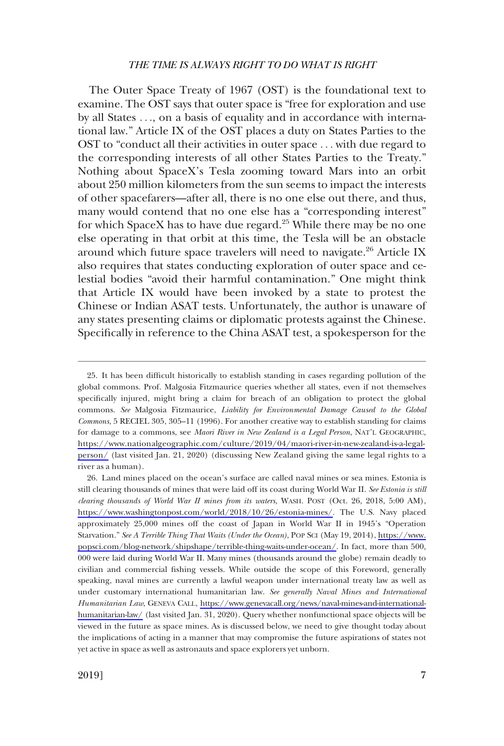#### *THE TIME IS ALWAYS RIGHT TO DO WHAT IS RIGHT*

The Outer Space Treaty of 1967 (OST) is the foundational text to examine. The OST says that outer space is "free for exploration and use by all States . . ., on a basis of equality and in accordance with international law." Article IX of the OST places a duty on States Parties to the OST to "conduct all their activities in outer space . . . with due regard to the corresponding interests of all other States Parties to the Treaty." Nothing about SpaceX's Tesla zooming toward Mars into an orbit about 250 million kilometers from the sun seems to impact the interests of other spacefarers—after all, there is no one else out there, and thus, many would contend that no one else has a "corresponding interest" for which SpaceX has to have due regard.<sup>25</sup> While there may be no one else operating in that orbit at this time, the Tesla will be an obstacle around which future space travelers will need to navigate. $^{26}$  Article IX also requires that states conducting exploration of outer space and celestial bodies "avoid their harmful contamination." One might think that Article IX would have been invoked by a state to protest the Chinese or Indian ASAT tests. Unfortunately, the author is unaware of any states presenting claims or diplomatic protests against the Chinese. Specifcally in reference to the China ASAT test, a spokesperson for the

<sup>25.</sup> It has been difficult historically to establish standing in cases regarding pollution of the global commons. Prof. Malgosia Fitzmaurice queries whether all states, even if not themselves specifcally injured, might bring a claim for breach of an obligation to protect the global commons. *See* Malgosia Fitzmaurice, *Liability for Environmental Damage Caused to the Global Commons*, 5 RECIEL 305, 305–11 (1996). For another creative way to establish standing for claims for damage to a commons, see *Maori River in New Zealand is a Legal Person*, NAT'L GEOGRAPHIC, [https://www.nationalgeographic.com/culture/2019/04/maori-river-in-new-zealand-is-a-legal](https://www.nationalgeographic.com/culture/2019/04/maori-river-in-new-zealand-is-a-legal-person/)[person/](https://www.nationalgeographic.com/culture/2019/04/maori-river-in-new-zealand-is-a-legal-person/) (last visited Jan. 21, 2020) (discussing New Zealand giving the same legal rights to a river as a human).

Land mines placed on the ocean's surface are called naval mines or sea mines. Estonia is 26. still clearing thousands of mines that were laid off its coast during World War II. *See Estonia is still clearing thousands of World War II mines from its waters*, WASH. POST (Oct. 26, 2018, 5:00 AM), [https://www.washingtonpost.com/world/2018/10/26/estonia-mines/.](https://www.washingtonpost.com/world/2018/10/26/estonia-mines/) The U.S. Navy placed approximately 25,000 mines off the coast of Japan in World War II in 1945's "Operation Starvation." *See A Terrible Thing That Waits (Under the Ocean)*, POP SCI (May 19, 2014), [https://www.](https://www.popsci.com/blog-network/shipshape/terrible-thing-waits-under-ocean/) [popsci.com/blog-network/shipshape/terrible-thing-waits-under-ocean/](https://www.popsci.com/blog-network/shipshape/terrible-thing-waits-under-ocean/). In fact, more than 500, 000 were laid during World War II. Many mines (thousands around the globe) remain deadly to civilian and commercial fshing vessels. While outside the scope of this Foreword, generally speaking, naval mines are currently a lawful weapon under international treaty law as well as under customary international humanitarian law. *See generally Naval Mines and International Humanitarian Law*, GENEVA CALL, [https://www.genevacall.org/news/naval-mines-and-international](https://www.genevacall.org/news/naval-mines-and-international-humanitarian-law/)[humanitarian-law/](https://www.genevacall.org/news/naval-mines-and-international-humanitarian-law/) (last visited Jan. 31, 2020). Query whether nonfunctional space objects will be viewed in the future as space mines. As is discussed below, we need to give thought today about the implications of acting in a manner that may compromise the future aspirations of states not yet active in space as well as astronauts and space explorers yet unborn.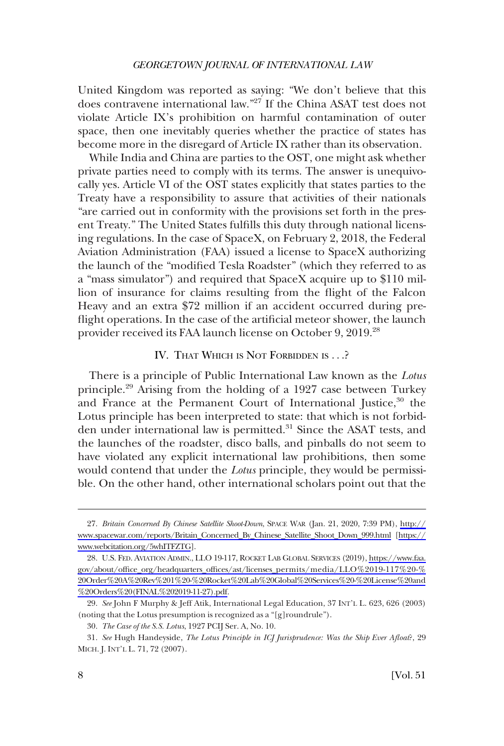<span id="page-7-0"></span>United Kingdom was reported as saying: "We don't believe that this does contravene international law."27 If the China ASAT test does not violate Article IX's prohibition on harmful contamination of outer space, then one inevitably queries whether the practice of states has become more in the disregard of Article IX rather than its observation.

While India and China are parties to the OST, one might ask whether private parties need to comply with its terms. The answer is unequivocally yes. Article VI of the OST states explicitly that states parties to the Treaty have a responsibility to assure that activities of their nationals "are carried out in conformity with the provisions set forth in the present Treaty." The United States fulflls this duty through national licensing regulations. In the case of SpaceX, on February 2, 2018, the Federal Aviation Administration (FAA) issued a license to SpaceX authorizing the launch of the "modifed Tesla Roadster" (which they referred to as a "mass simulator") and required that SpaceX acquire up to \$110 million of insurance for claims resulting from the fight of the Falcon Heavy and an extra \$72 million if an accident occurred during prefight operations. In the case of the artifcial meteor shower, the launch provider received its FAA launch license on October 9, 2019.28

## IV. THAT WHICH IS NOT FORBIDDEN IS . . .?

There is a principle of Public International Law known as the *Lotus*  principle.29 Arising from the holding of a 1927 case between Turkey and France at the Permanent Court of International Justice,<sup>30</sup> the Lotus principle has been interpreted to state: that which is not forbidden under international law is permitted.<sup>31</sup> Since the ASAT tests, and the launches of the roadster, disco balls, and pinballs do not seem to have violated any explicit international law prohibitions, then some would contend that under the *Lotus* principle, they would be permissible. On the other hand, other international scholars point out that the

*Britain Concerned By Chinese Satellite Shoot-Down*, SPACE WAR (Jan. 21, 2020, 7:39 PM), [http://](http://www.spacewar.com/reports/Britain_Concerned_By_Chinese_Satellite_Shoot_Down_999.html)  27. [www.spacewar.com/reports/Britain\\_Concerned\\_By\\_Chinese\\_Satellite\\_Shoot\\_Down\\_999.html](http://www.spacewar.com/reports/Britain_Concerned_By_Chinese_Satellite_Shoot_Down_999.html) [\[https://](https://www.webcitation.org/5whITFZTG)  [www.webcitation.org/5whITFZTG\]](https://www.webcitation.org/5whITFZTG).

U.S. FED. AVIATION ADMIN., LLO 19-117, ROCKET LAB GLOBAL SERVICES (2019), [https://www.faa.](https://www.faa.gov/about/office_org/headquarters_offices/ast/licenses_permits/media/LLO%2019-117%20-%20Order%20A%20Rev%201%20-%20Rocket%20Lab%20Global%20Services%20-%20License%20and%20Orders%20(FINAL%202019-11-27).pdf)  28. [gov/about/offce\\_org/headquarters\\_offces/ast/licenses\\_permits/media/LLO%2019-117%20-%](https://www.faa.gov/about/office_org/headquarters_offices/ast/licenses_permits/media/LLO%2019-117%20-%20Order%20A%20Rev%201%20-%20Rocket%20Lab%20Global%20Services%20-%20License%20and%20Orders%20(FINAL%202019-11-27).pdf) [20Order%20A%20Rev%201%20-%20Rocket%20Lab%20Global%20Services%20-%20License%20and](https://www.faa.gov/about/office_org/headquarters_offices/ast/licenses_permits/media/LLO%2019-117%20-%20Order%20A%20Rev%201%20-%20Rocket%20Lab%20Global%20Services%20-%20License%20and%20Orders%20(FINAL%202019-11-27).pdf) [%20Orders%20\(FINAL%202019-11-27\).pdf](https://www.faa.gov/about/office_org/headquarters_offices/ast/licenses_permits/media/LLO%2019-117%20-%20Order%20A%20Rev%201%20-%20Rocket%20Lab%20Global%20Services%20-%20License%20and%20Orders%20(FINAL%202019-11-27).pdf).

<sup>29.</sup> *See* John F Murphy & Jeff Atik, International Legal Education, 37 INT'L L. 623, 626 (2003) (noting that the Lotus presumption is recognized as a "[g]roundrule").

<sup>30.</sup> *The Case of the S.S. Lotus*, 1927 PCIJ Ser. A, No. 10.

<sup>31.</sup> *See* Hugh Handeyside, *The Lotus Principle in ICJ Jurisprudence: Was the Ship Ever Afoat*?, 29 MICH. J. INT'L L. 71, 72 (2007).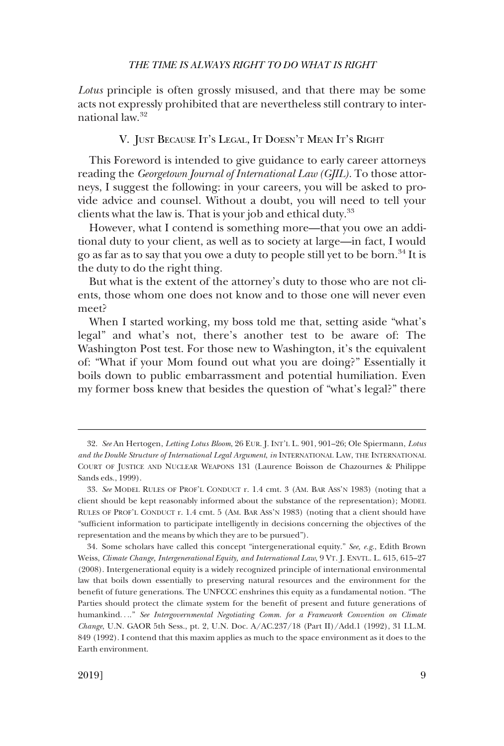#### *THE TIME IS ALWAYS RIGHT TO DO WHAT IS RIGHT*

<span id="page-8-0"></span>*Lotus* principle is often grossly misused, and that there may be some acts not expressly prohibited that are nevertheless still contrary to international law.32

## V. JUST BECAUSE IT'S LEGAL, IT DOESN'T MEAN IT'S RIGHT

This Foreword is intended to give guidance to early career attorneys reading the *Georgetown Journal of International Law (GJIL)*. To those attorneys, I suggest the following: in your careers, you will be asked to provide advice and counsel. Without a doubt, you will need to tell your clients what the law is. That is your job and ethical duty.<sup>33</sup>

However, what I contend is something more—that you owe an additional duty to your client, as well as to society at large—in fact, I would go as far as to say that you owe a duty to people still yet to be born.<sup>34</sup> It is the duty to do the right thing.

But what is the extent of the attorney's duty to those who are not clients, those whom one does not know and to those one will never even meet?

When I started working, my boss told me that, setting aside "what's legal" and what's not, there's another test to be aware of: The Washington Post test. For those new to Washington, it's the equivalent of: "What if your Mom found out what you are doing?" Essentially it boils down to public embarrassment and potential humiliation. Even my former boss knew that besides the question of "what's legal?" there

<sup>32.</sup> *See* An Hertogen, *Letting Lotus Bloom*, 26 EUR. J. INT'L L. 901, 901–26; Ole Spiermann, *Lotus and the Double Structure of International Legal Argument*, *in* INTERNATIONAL LAW, THE INTERNATIONAL COURT OF JUSTICE AND NUCLEAR WEAPONS 131 (Laurence Boisson de Chazournes & Philippe Sands eds., 1999).

<sup>33.</sup> *See* MODEL RULES OF PROF'L CONDUCT r. 1.4 cmt. 3 (AM. BAR ASS'N 1983) (noting that a client should be kept reasonably informed about the substance of the representation); MODEL RULES OF PROF'L CONDUCT r. 1.4 cmt. 5 (AM. BAR ASS'N 1983) (noting that a client should have "suffcient information to participate intelligently in decisions concerning the objectives of the representation and the means by which they are to be pursued").

<sup>34.</sup> Some scholars have called this concept "intergenerational equity." *See, e.g*., Edith Brown Weiss, *Climate Change, Intergenerational Equity, and International Law*, 9 VT. J. ENVTL. L. 615, 615–27 (2008). Intergenerational equity is a widely recognized principle of international environmental law that boils down essentially to preserving natural resources and the environment for the beneft of future generations. The UNFCCC enshrines this equity as a fundamental notion. "The Parties should protect the climate system for the beneft of present and future generations of humankind. . .." *See Intergovernmental Negotiating Comm. for a Framework Convention on Climate Change*, U.N. GAOR 5th Sess., pt. 2, U.N. Doc. A/AC.237/18 (Part II)/Add.1 (1992), 31 I.L.M. 849 (1992). I contend that this maxim applies as much to the space environment as it does to the Earth environment.